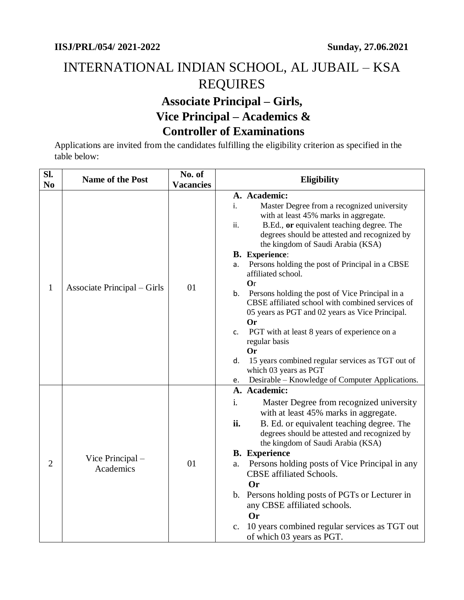## INTERNATIONAL INDIAN SCHOOL, AL JUBAIL – KSA REQUIRES **Associate Principal – Girls, Vice Principal – Academics & Controller of Examinations**

Applications are invited from the candidates fulfilling the eligibility criterion as specified in the table below:

| Sl.<br>N <sub>0</sub> | Name of the Post              | No. of<br><b>Vacancies</b> | <b>Eligibility</b>                                                                                                                                                                                                                                                                                                                                                                                                                                                                                                                                                                                                                                                                                                          |
|-----------------------|-------------------------------|----------------------------|-----------------------------------------------------------------------------------------------------------------------------------------------------------------------------------------------------------------------------------------------------------------------------------------------------------------------------------------------------------------------------------------------------------------------------------------------------------------------------------------------------------------------------------------------------------------------------------------------------------------------------------------------------------------------------------------------------------------------------|
| $\mathbf{1}$          | Associate Principal – Girls   | 01                         | A. Academic:<br>Master Degree from a recognized university<br>i.<br>with at least 45% marks in aggregate.<br>B.Ed., or equivalent teaching degree. The<br>ii.<br>degrees should be attested and recognized by<br>the kingdom of Saudi Arabia (KSA)<br><b>B.</b> Experience:<br>Persons holding the post of Principal in a CBSE<br>a.<br>affiliated school.<br><b>Or</b><br>Persons holding the post of Vice Principal in a<br>b.<br>CBSE affiliated school with combined services of<br>05 years as PGT and 02 years as Vice Principal.<br><b>Or</b><br>PGT with at least 8 years of experience on a<br>C.<br>regular basis<br><b>Or</b><br>15 years combined regular services as TGT out of<br>d.<br>which 03 years as PGT |
|                       |                               |                            | Desirable - Knowledge of Computer Applications.<br>e.<br>A. Academic:                                                                                                                                                                                                                                                                                                                                                                                                                                                                                                                                                                                                                                                       |
| $\overline{2}$        | Vice Principal –<br>Academics | 01                         | Master Degree from recognized university<br>i.<br>with at least 45% marks in aggregate.<br>B. Ed. or equivalent teaching degree. The<br>ii.<br>degrees should be attested and recognized by<br>the kingdom of Saudi Arabia (KSA)<br><b>B.</b> Experience<br>Persons holding posts of Vice Principal in any<br>a.<br><b>CBSE</b> affiliated Schools.<br><b>Or</b><br>b. Persons holding posts of PGTs or Lecturer in<br>any CBSE affiliated schools.<br>Or<br>10 years combined regular services as TGT out<br>c.<br>of which 03 years as PGT.                                                                                                                                                                               |